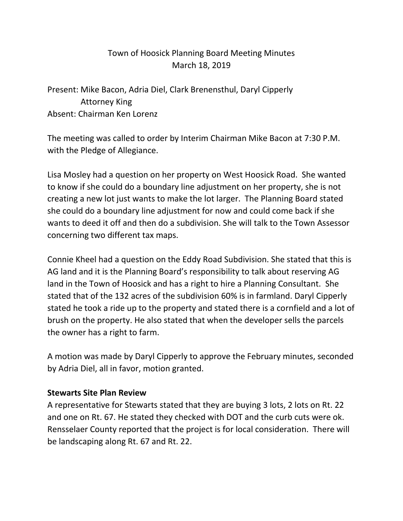### Town of Hoosick Planning Board Meeting Minutes March 18, 2019

Present: Mike Bacon, Adria Diel, Clark Brenensthul, Daryl Cipperly Attorney King Absent: Chairman Ken Lorenz

The meeting was called to order by Interim Chairman Mike Bacon at 7:30 P.M. with the Pledge of Allegiance.

Lisa Mosley had a question on her property on West Hoosick Road. She wanted to know if she could do a boundary line adjustment on her property, she is not creating a new lot just wants to make the lot larger. The Planning Board stated she could do a boundary line adjustment for now and could come back if she wants to deed it off and then do a subdivision. She will talk to the Town Assessor concerning two different tax maps.

Connie Kheel had a question on the Eddy Road Subdivision. She stated that this is AG land and it is the Planning Board's responsibility to talk about reserving AG land in the Town of Hoosick and has a right to hire a Planning Consultant. She stated that of the 132 acres of the subdivision 60% is in farmland. Daryl Cipperly stated he took a ride up to the property and stated there is a cornfield and a lot of brush on the property. He also stated that when the developer sells the parcels the owner has a right to farm.

A motion was made by Daryl Cipperly to approve the February minutes, seconded by Adria Diel, all in favor, motion granted.

#### **Stewarts Site Plan Review**

A representative for Stewarts stated that they are buying 3 lots, 2 lots on Rt. 22 and one on Rt. 67. He stated they checked with DOT and the curb cuts were ok. Rensselaer County reported that the project is for local consideration. There will be landscaping along Rt. 67 and Rt. 22.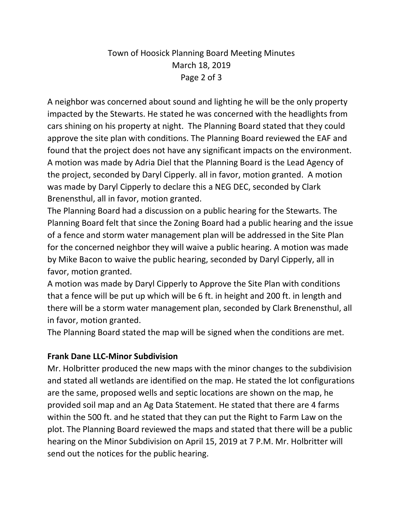# Town of Hoosick Planning Board Meeting Minutes March 18, 2019 Page 2 of 3

A neighbor was concerned about sound and lighting he will be the only property impacted by the Stewarts. He stated he was concerned with the headlights from cars shining on his property at night. The Planning Board stated that they could approve the site plan with conditions. The Planning Board reviewed the EAF and found that the project does not have any significant impacts on the environment. A motion was made by Adria Diel that the Planning Board is the Lead Agency of the project, seconded by Daryl Cipperly. all in favor, motion granted. A motion was made by Daryl Cipperly to declare this a NEG DEC, seconded by Clark Brenensthul, all in favor, motion granted.

The Planning Board had a discussion on a public hearing for the Stewarts. The Planning Board felt that since the Zoning Board had a public hearing and the issue of a fence and storm water management plan will be addressed in the Site Plan for the concerned neighbor they will waive a public hearing. A motion was made by Mike Bacon to waive the public hearing, seconded by Daryl Cipperly, all in favor, motion granted.

A motion was made by Daryl Cipperly to Approve the Site Plan with conditions that a fence will be put up which will be 6 ft. in height and 200 ft. in length and there will be a storm water management plan, seconded by Clark Brenensthul, all in favor, motion granted.

The Planning Board stated the map will be signed when the conditions are met.

#### **Frank Dane LLC-Minor Subdivision**

Mr. Holbritter produced the new maps with the minor changes to the subdivision and stated all wetlands are identified on the map. He stated the lot configurations are the same, proposed wells and septic locations are shown on the map, he provided soil map and an Ag Data Statement. He stated that there are 4 farms within the 500 ft. and he stated that they can put the Right to Farm Law on the plot. The Planning Board reviewed the maps and stated that there will be a public hearing on the Minor Subdivision on April 15, 2019 at 7 P.M. Mr. Holbritter will send out the notices for the public hearing.